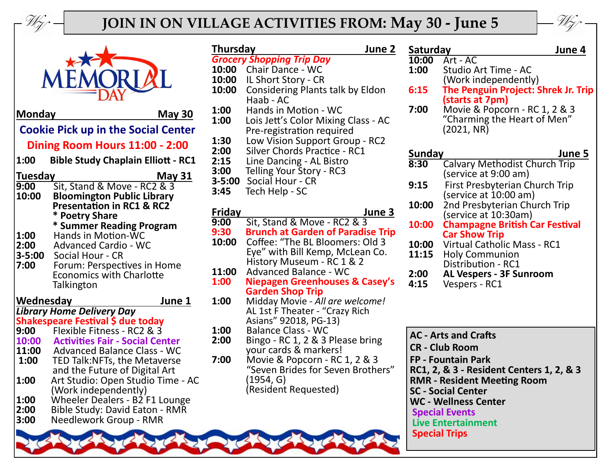

## **JOIN IN ON VILLAGE ACTIVITIES FROM: May 30 - June 5**



N Monday **May 30** 

## **Cookie Pick up in the Social Center Dining Room Hours 11:00 - 2:00**

**1:00 Bible Study Chaplain Elliott - RC1**

| <b>Tuesday</b> | <b>May 31</b>                        |
|----------------|--------------------------------------|
| 9:00           | Sit, Stand & Move - RC2 & 3          |
| 10:00          | <b>Bloomington Public Library</b>    |
|                | <b>Presentation in RC1 &amp; RC2</b> |
|                | * Poetry Share                       |
|                | * Summer Reading Program             |
| 1:00           | <b>Hands in Motion-WC</b>            |
| 2:00           | <b>Advanced Cardio - WC</b>          |
| $3 - 5:00$     | Social Hour - CR                     |
| 7:00           | Forum: Perspectives in Home          |
|                | <b>Economics with Charlotte</b>      |
|                | Talkington                           |

| Wednesday<br>June 1 |                                        |
|---------------------|----------------------------------------|
|                     | <b>Library Home Delivery Day</b>       |
|                     | Shakespeare Festival \$ due today      |
| 9:00                | Flexible Fitness - RC2 & 3             |
| 10:00               | <b>Activities Fair - Social Center</b> |
| 11:00               | <b>Advanced Balance Class - WC</b>     |
| $\vert 1:00 \vert$  | TED Talk: NFTs, the Metaverse          |
|                     | and the Future of Digital Art          |
| 1:00                | Art Studio: Open Studio Time - AC      |
|                     | (Work independently)                   |
| 1:00                | <b>Wheeler Dealers - B2 F1 Lounge</b>  |
| חח∙כו               | Rihle Study: David Eaton - RMR         |

- **2:00** Bible Study: David Eaton RMR
- **3:00** Needlework Group RMR

| <b>Thursday</b><br>June 2 |                                                                           |  |
|---------------------------|---------------------------------------------------------------------------|--|
|                           | <b>Grocery Shopping Trip Day</b>                                          |  |
| 10:00<br>10:00            | <b>Chair Dance - WC</b><br>IL Short Story - CR                            |  |
| 10:00                     | Considering Plants talk by Eldon                                          |  |
|                           | Haab - AC                                                                 |  |
| 1:00                      | Hands in Motion - WC                                                      |  |
| 1:00                      | Lois Jett's Color Mixing Class - AC                                       |  |
|                           | Pre-registration required                                                 |  |
| 1:30<br>2:00              | Low Vision Support Group - RC2<br><b>Silver Chords Practice - RC1</b>     |  |
| 2:15                      | Line Dancing - AL Bistro                                                  |  |
| 3:00                      | Telling Your Story - RC3                                                  |  |
| $3 - 5:00$                | Social Hour - CR                                                          |  |
| 3:45                      | Tech Help - SC                                                            |  |
| Friday                    | June 3                                                                    |  |
| 9:00                      | Sit, Stand & Move - RC2 & 3                                               |  |
| 9:30                      | <b>Brunch at Garden of Paradise Trip</b>                                  |  |
| 10:00                     | Coffee: "The BL Bloomers: Old 3                                           |  |
|                           | Eye" with Bill Kemp, McLean Co.                                           |  |
|                           | History Museum - RC 1 & 2                                                 |  |
| 11:00<br>1:00             | <b>Advanced Balance - WC</b><br><b>Niepagen Greenhouses &amp; Casey's</b> |  |
|                           | <b>Garden Shop Trip</b>                                                   |  |
| 1:00                      | Midday Movie - All are welcome!                                           |  |
|                           | AL 1st F Theater - "Crazy Rich                                            |  |
|                           | Asians" 92018, PG-13)                                                     |  |
| 1:00<br>2:00              | <b>Balance Class - WC</b><br>Bingo - RC 1, 2 & 3 Please bring             |  |
|                           | your cards & markers!                                                     |  |
| 7:00                      | Movie & Popcorn - RC 1, 2 & 3                                             |  |
|                           | "Seven Brides for Seven Brothers"                                         |  |
|                           | (1954, G)                                                                 |  |
|                           | (Resident Requested)                                                      |  |

| Saturday | June 4                                |
|----------|---------------------------------------|
| 10:00    | Art - AC                              |
| 1:00     | Studio Art Time - AC                  |
|          | (Work independently)                  |
| 6:15     | The Penguin Project: Shrek Jr. Trip   |
|          | (starts at 7pm)                       |
| 7:00     | Movie & Popcorn - RC 1, 2 & 3         |
|          | "Charming the Heart of Men"           |
|          | (2021, NR)                            |
|          |                                       |
| Sunday   | June 5                                |
| 8:30     | <b>Calvary Methodist Church Trip</b>  |
|          | (service at 9:00 am)                  |
|          |                                       |
| 9:15     | First Presbyterian Church Trip        |
|          | (service at 10:00 am)                 |
| 10:00    | 2nd Presbyterian Church Trip          |
|          | (service at 10:30am)                  |
| 10:00    | <b>Champagne British Car Festival</b> |
|          | <b>Car Show Trip</b>                  |
| 10:00    | <b>Virtual Catholic Mass - RC1</b>    |
| 11:15    | <b>Holy Communion</b>                 |
|          | Distribution - RC1                    |
| 2:00     | <b>AL Vespers - 3F Sunroom</b>        |
| 4:15     | Vespers - RC1                         |
|          |                                       |
|          |                                       |
|          |                                       |
|          |                                       |
|          | <b>AC - Arts and Crafts</b>           |
|          | <b>CR - Club Room</b>                 |
|          | <b>FP - Fountain Park</b>             |
|          | RC1 2 & 3 - Racidant Cantars 1 2 & 3  |

**RC1, 2, & 3 - Resident Centers 1, 2, & 3 RMR - Resident Meeting Room SC - Social Center WC - Wellness Center Special Events Live Entertainment Special Trips**

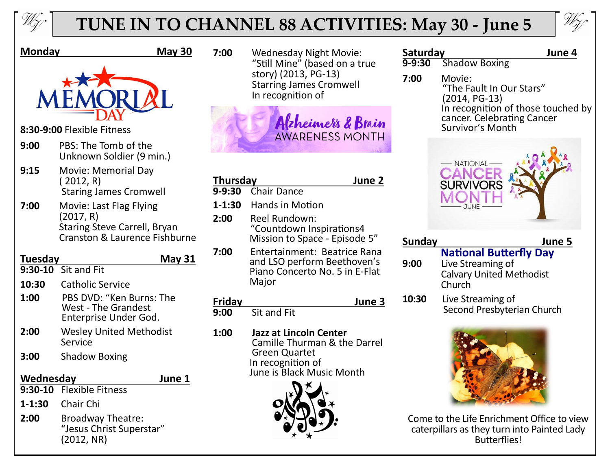

# **TUNE IN TO CHANNEL 88 ACTIVITIES: May 30 - June 5**



#### **Monday May 30**



- **8:30-9:00** Flexible Fitness
- **9:00** PBS: The Tomb of the Unknown Soldier (9 min.)
- **9:15** Movie: Memorial Day ( 2012, R) Staring James Cromwell
- **7:00** Movie: Last Flag Flying (2017, R) Staring Steve Carrell, Bryan Cranston & Laurence Fishburne

#### **Tuesday May 31 9:30-10** Sit and Fit

- 
- **10:30** Catholic Service
- **1:00** PBS DVD: "Ken Burns: The West - The Grandest Enterprise Under God.
- **2:00** Wesley United Methodist Service
- **3:00** Shadow Boxing

### **Wednesday June 1**

- **9:30-10** Flexible Fitness
- **1-1:30** Chair Chi
- **2:00** Broadway Theatre: "Jesus Christ Superstar" (2012, NR)

**7:00** Wednesday Night Movie: "Still Mine" (based on a true story) (2013, PG-13) Starring James Cromwell In recognition of



| <b>Thursday</b><br>June 2 |                                                                                                        |
|---------------------------|--------------------------------------------------------------------------------------------------------|
|                           | 9-9:30 Chair Dance                                                                                     |
| $1 - 1:30$                | <b>Hands in Motion</b>                                                                                 |
| 2:00                      | Reel Rundown:<br>"Countdown Inspirations4<br>Mission to Space - Episode 5"                             |
| 7:00                      | Entertainment: Beatrice Rana<br>and LSO perform Beethoven's<br>Piano Concerto No. 5 in E-Flat<br>Major |

| Friday |             | June 3 |
|--------|-------------|--------|
| 9:00   | Sit and Fit |        |

**1:00 Jazz at Lincoln Center** Camille Thurman & the Darrel Green Quartet In recognition of June is Black Music Month



# **Saturday**<br>**9-9:30** Shadow Boxing<br>**19-9:30** Shadow Boxing

**9-9:30** Shadow Boxing

**7:00** Movie:

 "The Fault In Our Stars" (2014, PG-13) In recognition of those touched by cancer. Celebrating Cancer Survivor's Month



| Sunday | June 5                                                                                          |
|--------|-------------------------------------------------------------------------------------------------|
| 9:00   | <b>National Butterfly Day</b><br>Live Streaming of<br><b>Calvary United Methodist</b><br>Church |
| 10:30  | Live Streaming of<br>Second Presbyterian Church                                                 |



Come to the Life Enrichment Office to view caterpillars as they turn into Painted Lady **Butterflies!**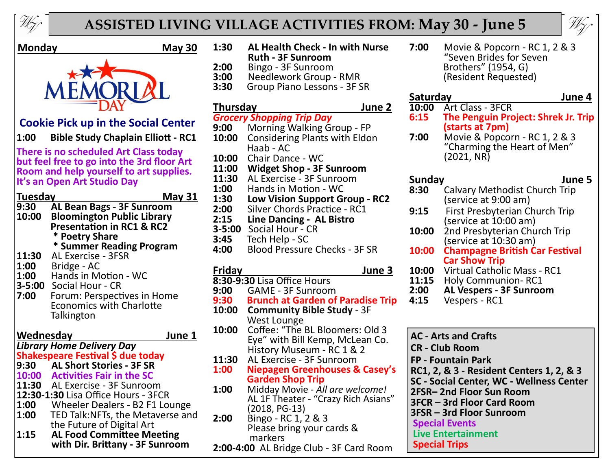

## **ASSISTED LIVING VILLAGE ACTIVITIES FROM: May 30 - June 5**



#### **Monday May 30**



**Cookie Pick up in the Social Center**

**1:00 Bible Study Chaplain Elliott - RC1**

**There is no scheduled Art Class today but feel free to go into the 3rd floor Art Room and help yourself to art supplies. It's an Open Art Studio Day**

| Tuesday            | <b>May 31</b>                        |
|--------------------|--------------------------------------|
| 9:30               | <b>AL Bean Bags - 3F Sunroom</b>     |
| 10:00              | <b>Bloomington Public Library</b>    |
|                    | <b>Presentation in RC1 &amp; RC2</b> |
|                    |                                      |
|                    | * Poetry Share                       |
|                    | * Summer Reading Program             |
| 11:30              | <b>AL Exercise - 3FSR</b>            |
| 1:00               | Bridge - AC                          |
| 1:00               | Hands in Motion - WC                 |
|                    | 3-5:00 Social Hour - CR              |
| 7:00               | Forum: Perspectives in Home          |
|                    | <b>Economics with Charlotte</b>      |
|                    | Talkington                           |
|                    |                                      |
| Wednesday          | June 1                               |
|                    | <b>Library Home Delivery Day</b>     |
|                    |                                      |
|                    | Shakespeare Festival \$ due today    |
|                    | 9:30 AL Short Stories - 3F SR        |
|                    | 10:00 Activities Fair in the SC      |
|                    | 11:30 AL Exercise - 3F Sunroom       |
|                    | 12:30-1:30 Lisa Office Hours - 3FCR  |
| 1:00               | Wheeler Dealers - B2 F1 Lounge       |
| $\vert1:00\rangle$ | TED Talk: NFTs, the Metaverse and    |
|                    | the Future of Digital Art            |
| 1:15               | <b>AL Food Committee Meeting</b>     |
|                    |                                      |

 **with Dir. Brittany - 3F Sunroom**

- **1:30 AL Health Check - In with Nurse Ruth - 3F Sunroom**
- **2:00** Bingo 3F Sunroom
- **3:00** Needlework Group RMR
- **3:30** Group Piano Lessons 3F SR

#### **Thursday June 2**

- *Grocery Shopping Trip Day* **9:00** Morning Walking Group - FP
- **10:00** Considering Plants with Eldon Haab - AC
- **10:00** Chair Dance WC
- **11:00 Widget Shop - 3F Sunroom**
- **11:30** AL Exercise 3F Sunroom
- **1:00** Hands in Motion WC
- **1:30 Low Vision Support Group RC2**<br>**2:00** Silver Chords Practice RC1
- **2:00** Silver Chords Practice RC1<br>**2:15** Line Dancing AL Bistro **2:15 Line Dancing - AL Bistro**
- 
- **3-5:00** Social Hour CR **3:45** Tech Help - SC
- **4:00** Blood Pressure Checks 3F SR

- **Friday June 3**
- **8:30-9:30** Lisa Office Hours
- **9:00** GAME 3F Sunroom **Brunch at Garden of Paradise Trip**
- **10:00 Community Bible Study**  3F West Lounge **10:00** Coffee: "The BL Bloomers: Old 3 Eye" with Bill Kemp, McLean Co. History Museum - RC 1 & 2
- 
- **11:30** AL Exercise 3F Sunroom **1:00 Niepagen Greenhouses & Casey's Garden Shop Trip**<br>**1:00** Midday Movie - Al.
- **1:00** Midday Movie *All are welcome!*  AL 1F Theater - "Crazy Rich Asians" (2018, PG-13)
- **2:00** Bingo RC 1, 2 & 3 Please bring your cards & markers
- **2:00-4:00** AL Bridge Club 3F Card Room

**7:00** Movie & Popcorn - RC 1, 2 & 3 "Seven Brides for Seven Brothers" (1954, G) (Resident Requested)

### **Saturday June 4**

- 
- **10:00** Art Class 3FCR<br>**6:15** The Penguin Pro **6:15 The Penguin Project: Shrek Jr. Trip (starts at 7pm)**<br>**7:00** Movie & Popco
- **7:00** Movie & Popcorn RC 1, 2 & 3 "Charming the Heart of Men" (2021, NR)

### **Sunday June 5**

- **8:30** Calvary Methodist Church Trip (service at 9:00 am)
- **9:15** First Presbyterian Church Trip (service at 10:00 am)
- **10:00** 2nd Presbyterian Church Trip (service at 10:30 am)
- **10:00 Champagne British Car Festival Car Show Trip**
- **10:00** Virtual Catholic Mass RC1
- **11:15** Holy Communion- RC1
- **2:00 AL Vespers - 3F Sunroom**
	- **4:15** Vespers RC1
- **AC - Arts and Crafts CR - Club Room FP - Fountain Park RC1, 2, & 3 - Resident Centers 1, 2, & 3 SC - Social Center, WC - Wellness Center 2FSR– 2nd Floor Sun Room 3FCR – 3rd Floor Card Room 3FSR – 3rd Floor Sunroom Special Events Live Entertainment Special Trips**